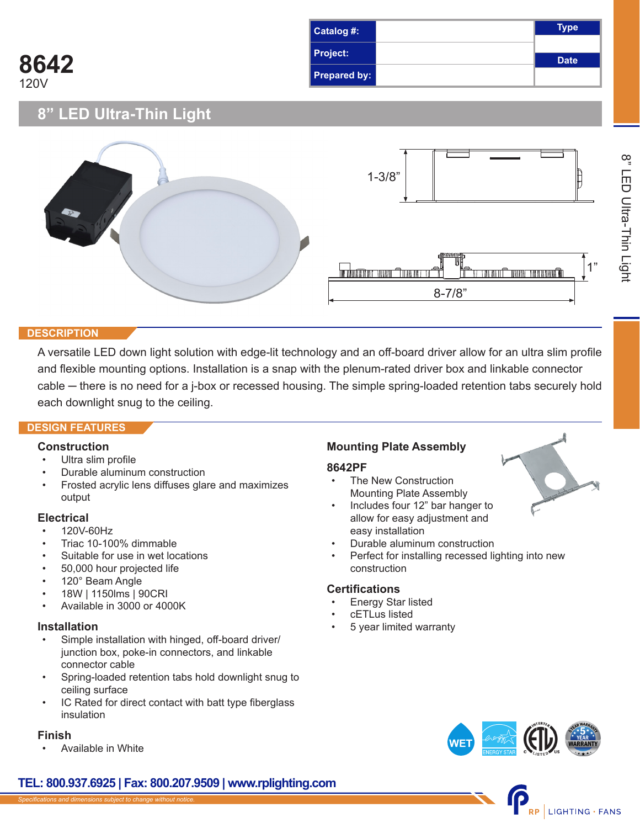| Catalog #:            | Type        |
|-----------------------|-------------|
| <b>Project:</b>       | <b>Date</b> |
| Prepared by: <b>I</b> |             |

**8" LED Ultra-Thin Light**



#### **DESCRIPTION**

**8642**

120V

A versatile LED down light solution with edge-lit technology and an off-board driver allow for an ultra slim profile and flexible mounting options. Installation is a snap with the plenum-rated driver box and linkable connector cable — there is no need for a j-box or recessed housing. The simple spring-loaded retention tabs securely hold each downlight snug to the ceiling.

## **DESIGN FEATURES**

## **Construction**

- Ultra slim profile
- Durable aluminum construction
- Frosted acrylic lens diffuses glare and maximizes output

## **Electrical**

- 120V-60Hz
- Triac 10-100% dimmable
- Suitable for use in wet locations
- 50,000 hour projected life
- 120° Beam Angle
- 18W | 1150lms | 90CRI
- Available in 3000 or 4000K

## **Installation**

- Simple installation with hinged, off-board driver/ junction box, poke-in connectors, and linkable connector cable
- Spring-loaded retention tabs hold downlight snug to ceiling surface
- IC Rated for direct contact with batt type fiberglass insulation

## **Finish**

• Available in White

## **Mounting Plate Assembly**

#### **8642PF**

- The New Construction Mounting Plate Assembly
- Includes four 12" bar hanger to allow for easy adjustment and easy installation
- Durable aluminum construction
- Perfect for installing recessed lighting into new construction

## **Certifications**

- Energy Star listed
- cETLus listed
- 5 year limited warranty





## **TEL: 800.937.6925 | Fax: 800.207.9509 | www.rplighting.com**